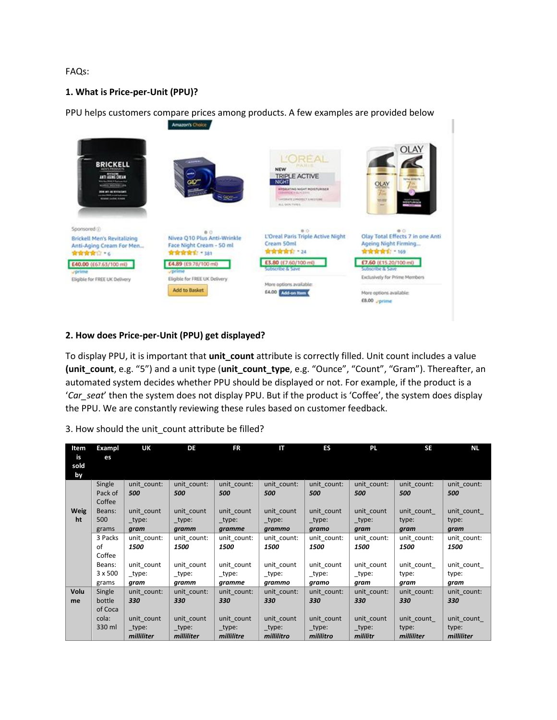FAQs:

## **1. What is Price-per-Unit (PPU)?**

PPU helps customers compare prices among products. A few examples are provided below



## **2. How does Price-per-Unit (PPU) get displayed?**

To display PPU, it is important that **unit count** attribute is correctly filled. Unit count includes a value **(unit\_count**, e.g. "5") and a unit type (**unit\_count\_type**, e.g. "Ounce", "Count", "Gram"). Thereafter, an automated system decides whether PPU should be displayed or not. For example, if the product is a '*Car\_seat*' then the system does not display PPU. But if the product is 'Coffee', the system does display the PPU. We are constantly reviewing these rules based on customer feedback.

|  |  |  | 3. How should the unit count attribute be filled? |
|--|--|--|---------------------------------------------------|
|  |  |  |                                                   |

| Item             | Exampl            | UK          | DF          | <b>FR</b>   | $\mathsf{I}$ | ES          | <b>PL</b>   | <b>SE</b>   | <b>NL</b>   |
|------------------|-------------------|-------------|-------------|-------------|--------------|-------------|-------------|-------------|-------------|
| is<br>sold<br>by | es                |             |             |             |              |             |             |             |             |
|                  | Single            | unit count: | unit count: | unit count: | unit count:  | unit count: | unit count: | unit count: | unit count: |
|                  | Pack of<br>Coffee | 500         | 500         | 500         | 500          | 500         | 500         | 500         | 500         |
| <b>Weig</b>      | Beans:            | unit count  | unit count  | unit count  | unit count   | unit count  | unit count  | unit count  | unit count  |
| ht               | 500               | _type:      | $_t$ type:  | _type:      | $_t$ type:   | _type:      | $_t$ ype:   | type:       | type:       |
|                  | grams             | gram        | gramm       | gramme      | grammo       | gramo       | gram        | gram        | gram        |
|                  | 3 Packs           | unit count: | unit count: | unit count: | unit count:  | unit count: | unit count: | unit count: | unit count: |
|                  | of                | 1500        | 1500        | 1500        | 1500         | 1500        | 1500        | 1500        | 1500        |
|                  | Coffee            |             |             |             |              |             |             |             |             |
|                  | Beans:            | unit count  | unit count  | unit count  | unit count   | unit count  | unit count  | unit count  | unit count  |
|                  | 3 x 500           | _type:      | _type:      | _type:      | $_t$ type:   | _type:      | _type:      | type:       | type:       |
|                  | grams             | gram        | gramm       | gramme      | grammo       | gramo       | gram        | gram        | gram        |
| Volu             | Single            | unit count: | unit count: | unit count: | unit count:  | unit count: | unit count: | unit count: | unit count: |
| me               | bottle            | 330         | 330         | 330         | 330          | 330         | 330         | 330         | 330         |
|                  | of Coca           |             |             |             |              |             |             |             |             |
|                  | cola:             | unit count  | unit count  | unit count  | unit count   | unit count  | unit count  | unit count  | unit count  |
|                  | 330 ml            | _type:      | $_t$ ype:   | _type:      | $_t$ ype:    | _type:      | _type:      | type:       | type:       |
|                  |                   | milliliter  | milliliter  | millilitre  | millilitro   | mililitro   | mililitr    | milliliter  | milliliter  |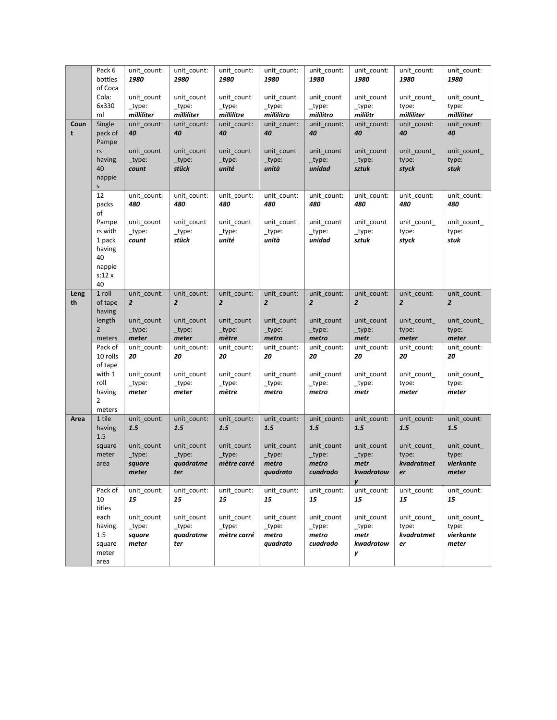|            | Pack 6<br>bottles<br>of Coca                                  | unit_count:<br>1980                     | unit_count:<br>1980                         | unit_count:<br>1980                     | unit_count:<br>1980                       | unit_count:<br>1980                       | unit_count:<br>1980                                      | unit_count:<br>1980                     | unit_count:<br>1980                        |
|------------|---------------------------------------------------------------|-----------------------------------------|---------------------------------------------|-----------------------------------------|-------------------------------------------|-------------------------------------------|----------------------------------------------------------|-----------------------------------------|--------------------------------------------|
|            | Cola:<br>6x330<br>ml                                          | unit_count<br>_type:<br>milliliter      | unit_count<br>$_t$ type:<br>milliliter      | unit_count<br>_type:<br>millilitre      | unit count<br>_type:<br>millilitro        | unit_count<br>_type:<br>mililitro         | unit_count<br>$_t$ type:<br>mililitr                     | unit_count_<br>type:<br>milliliter      | unit_count_<br>type:<br>milliliter         |
| Coun<br>t  | Single<br>pack of<br>Pampe                                    | unit_count:<br>40                       | unit_count:<br>40                           | unit_count:<br>40                       | unit_count:<br>40                         | unit count:<br>40                         | unit_count:<br>40                                        | unit_count:<br>40                       | unit_count:<br>40                          |
|            | rs<br>having<br>40<br>nappie                                  | unit_count<br>_type:<br>count           | unit_count<br>_type:<br>stück               | unit_count<br>_type:<br>unité           | unit_count<br>_type:<br>unità             | unit_count<br>_type:<br>unidad            | unit_count<br>_type:<br>sztuk                            | unit_count_<br>type:<br>styck           | unit_count_<br>type:<br>stuk               |
|            | S.<br>12<br>packs<br>of                                       | unit_count:<br>480                      | unit_count:<br>480                          | unit_count:<br>480                      | unit_count:<br>480                        | unit_count:<br>480                        | unit_count:<br>480                                       | unit_count:<br>480                      | unit_count:<br>480                         |
|            | Pampe<br>rs with<br>1 pack<br>having<br>40<br>nappie<br>s:12x | unit_count<br>_type:<br>count           | unit_count<br>_type:<br>stück               | unit_count<br>_type:<br>unité           | unit_count<br>_type:<br>unità             | unit_count<br>_type:<br>unidad            | unit_count<br>_type:<br>sztuk                            | unit_count_<br>type:<br>styck           | unit_count_<br>type:<br>stuk               |
| Leng<br>th | 40<br>1 roll<br>of tape                                       | unit_count:<br>$\overline{2}$           | unit_count:<br>$\overline{2}$               | unit_count:<br>$\overline{2}$           | unit_count:<br>$\overline{2}$             | unit_count:<br>$\overline{2}$             | unit_count:<br>$\overline{2}$                            | unit count:<br>$\overline{2}$           | unit_count:<br>$\overline{2}$              |
|            | having<br>length<br>$\overline{2}$<br>meters                  | unit_count<br>_type:<br>meter           | unit_count<br>_type:<br>meter               | unit_count<br>_type:<br>mètre           | unit_count<br>_type:<br>metro             | unit_count<br>_type:<br>metro             | unit_count<br>_type:<br>metr                             | unit count<br>type:<br>meter            | unit_count_<br>type:<br>meter              |
|            | Pack of<br>10 rolls<br>of tape                                | unit_count:<br>20                       | unit_count:<br>20                           | unit_count:<br>20                       | unit_count:<br>20                         | unit_count:<br>20                         | unit_count:<br>20                                        | unit_count:<br>20                       | unit_count:<br>20                          |
|            | with 1<br>roll<br>having<br>$\overline{2}$<br>meters          | unit_count<br>_type:<br>meter           | unit_count<br>_type:<br>meter               | unit_count<br>_type:<br>mètre           | unit_count<br>_type:<br>metro             | unit_count<br>_type:<br>metro             | unit_count<br>_type:<br>metr                             | unit_count_<br>type:<br>meter           | unit_count_<br>type:<br>meter              |
| Area       | 1 tile<br>having                                              | unit count:<br>1.5                      | unit_count:<br>1.5                          | unit_count:<br>1.5                      | unit_count:<br>1.5                        | unit_count:<br>1.5                        | unit_count:<br>1.5                                       | unit count:<br>1.5                      | unit count:<br>1.5                         |
|            | 1.5<br>square<br>meter<br>area                                | unit count<br>_type:<br>square<br>meter | unit count<br>$_t$ ype:<br>quadratme<br>ter | unit count<br>$_t$ type:<br>mètre carré | unit count<br>_type:<br>metro<br>quadrato | unit_count<br>_type:<br>metro<br>cuadrado | unit count<br>_type:<br>metr<br>$k$ wadratow $ $ er<br>y | unit_count_<br>type:<br>kvadratmet      | unit_count_<br>type:<br>vierkante<br>meter |
|            | Pack of<br>10<br>titles                                       | unit count:<br>15                       | unit_count:<br>15                           | unit_count:<br>15                       | unit count:<br>15                         | unit_count:<br>15                         | unit_count:<br>15                                        | unit_count:<br>15                       | unit count:<br>15                          |
|            | each<br>having<br>1.5<br>square<br>meter<br>area              | unit_count<br>_type:<br>square<br>meter | unit_count<br>_type:<br>quadratme<br>ter    | unit_count<br>_type:<br>mètre carré     | unit_count<br>_type:<br>metro<br>quadrato | unit_count<br>_type:<br>metro<br>cuadrado | unit_count<br>_type:<br>metr<br>kwadratow<br>у           | unit count<br>type:<br>kvadratmet<br>er | unit count<br>type:<br>vierkante<br>meter  |